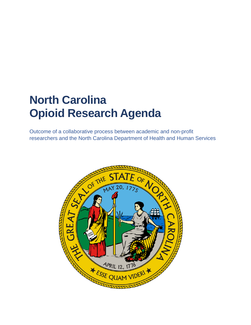# **North Carolina Opioid Research Agenda**

Outcome of a collaborative process between academic and non-profit researchers and the North Carolina Department of Health and Human Services

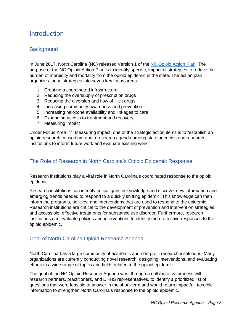# **Introduction**

# **Background**

In June 2017, North Carolina (NC) released Version 1 of the NC [Opioid Action Plan.](https://www.ncdhhs.gov/about/department-initiatives/opioid-epidemic/north-carolinas-opioid-action-plan) The purpose of the NC Opioid Action Plan is to identify specific, impactful strategies to reduce the burden of morbidity and mortality from the opioid epidemic in the state. The action plan organizes these strategies into seven key focus areas:

- 1. Creating a coordinated infrastructure
- 2. Reducing the oversupply of prescription drugs
- 3. Reducing the diversion and flow of illicit drugs
- 4. Increasing community awareness and prevention
- 5. Increasing naloxone availability and linkages to care
- 6. Expanding access to treatment and recovery
- 7. Measuring impact

Under Focus Area #7: Measuring impact, one of the strategic action items is to "establish an opioid research consortium and a research agenda among state agencies and research institutions to inform future work and evaluate existing work."

### The Role of Research in North Carolina's Opioid Epidemic Response

Research institutions play a vital role in North Carolina's coordinated response to the opioid epidemic.

Research institutions can identify critical gaps in knowledge and discover new information and emerging trends needed to respond to a quickly shifting epidemic. This knowledge can then inform the programs, policies, and interventions that are used to respond to the epidemic. Research institutions are critical to the development of prevention and intervention strategies and accessible, effective treatments for substance use disorder. Furthermore, research institutions can evaluate policies and interventions to identify more effective responses to the opioid epidemic.

# Goal of North Carolina Opioid Research Agenda

North Carolina has a large community of academic and non-profit research institutions. Many organizations are currently conducting novel research, designing interventions, and evaluating efforts in a wide range of topics and fields related to the opioid epidemic.

The goal of the NC Opioid Research Agenda was, through a collaborative process with research partners, practitioners, and DHHS representatives, to identify a prioritized list of questions that were feasible to answer in the short-term and would return impactful, tangible information to strengthen North Carolina's response to the opioid epidemic.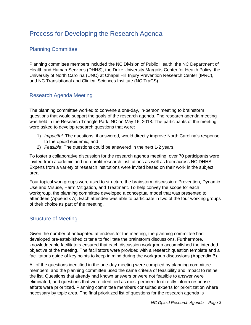# Process for Developing the Research Agenda

# Planning Committee

Planning committee members included the NC Division of Public Health, the NC Department of Health and Human Services (DHHS), the Duke University Margolis Center for Health Policy, the University of North Carolina (UNC) at Chapel Hill Injury Prevention Research Center (IPRC), and NC Translational and Clinical Sciences Institute (NC TraCS).

# Research Agenda Meeting

The planning committee worked to convene a one-day, in-person meeting to brainstorm questions that would support the goals of the research agenda. The research agenda meeting was held in the Research Triangle Park, NC on May 16, 2018. The participants of the meeting were asked to develop research questions that were:

- 1) *Impactful*: The questions, if answered, would directly improve North Carolina's response to the opioid epidemic; and
- 2) *Feasible*: The questions could be answered in the next 1-2 years.

To foster a collaborative discussion for the research agenda meeting, over 70 participants were invited from academic and non-profit research institutions as well as from across NC DHHS. Experts from a variety of research institutions were invited based on their work in the subject area.

Four topical workgroups were used to structure the brainstorm discussion: Prevention, Dynamic Use and Misuse, Harm Mitigation, and Treatment. To help convey the scope for each workgroup, the planning committee developed a conceptual model that was presented to attendees (Appendix A). Each attendee was able to participate in two of the four working groups of their choice as part of the meeting.

# Structure of Meeting

Given the number of anticipated attendees for the meeting, the planning committee had developed pre-established criteria to facilitate the brainstorm discussions. Furthermore, knowledgeable facilitators ensured that each discussion workgroup accomplished the intended objective of the meeting. The facilitators were provided with a research question template and a facilitator's guide of key points to keep in mind during the workgroup discussions (Appendix B).

All of the questions identified in the one-day meeting were compiled by planning committee members, and the planning committee used the same criteria of feasibility and impact to refine the list. Questions that already had known answers or were not feasible to answer were eliminated, and questions that were identified as most pertinent to directly inform response efforts were prioritized. Planning committee members consulted experts for prioritization where necessary by topic area. The final prioritized list of questions for the research agenda is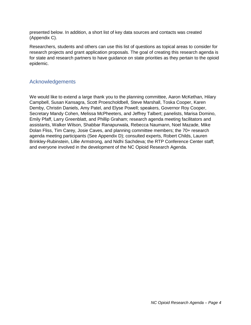presented below. In addition, a short list of key data sources and contacts was created (Appendix C).

Researchers, students and others can use this list of questions as topical areas to consider for research projects and grant application proposals. The goal of creating this research agenda is for state and research partners to have guidance on state priorities as they pertain to the opioid epidemic.

### Acknowledgements

We would like to extend a large thank you to the planning committee, Aaron McKethan, Hilary Campbell, Susan Kansagra, Scott Proescholdbell, Steve Marshall, Toska Cooper, Karen Demby, Christin Daniels, Amy Patel, and Elyse Powell; speakers, Governor Roy Cooper, Secretary Mandy Cohen, Melissa McPheeters, and Jeffrey Talbert; panelists, Marisa Domino, Emily Pfaff, Larry Greenblatt, and Phillip Graham; research agenda meeting facilitators and assistants, Walker Wilson, Shabbar Ranapurwala, Rebecca Naumann, Noel Mazade, Mike Dolan Fliss, Tim Carey, Josie Caves, and planning committee members; the 70+ research agenda meeting participants (See Appendix D); consulted experts, Robert Childs, Lauren Brinkley-Rubinstein, Lillie Armstrong, and Nidhi Sachdeva; the RTP Conference Center staff; and everyone involved in the development of the NC Opioid Research Agenda.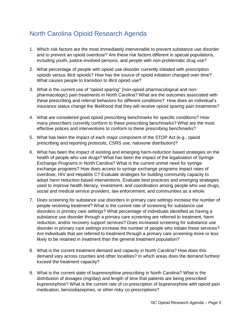# North Carolina Opioid Research Agenda

- 1. Which risk factors are the most immediately intervenable to prevent substance use disorder and to prevent an opioid overdose? Are these risk factors different in special populations, including youth, justice-involved persons, and people with non-problematic drug use?
- 2. What percentage of people with opioid use disorder currently initiated with prescription opioids versus illicit opioids? How has the source of opioid initiation changed over time? What causes people to transition to illicit opioid use?
- 3. What is the current use of "opioid sparing" (non-opioid pharmacological and nonpharmacologic) pain treatments in North Carolina? What are the outcomes associated with these prescribing and referral behaviors for different conditions? How does an individual's insurance status change the likelihood that they will receive opioid sparing pain treatments?
- 4. What are considered good opioid prescribing benchmarks for specific conditions? How many prescribers currently conform to these prescribing benchmarks? What are the most effective polices and interventions to conform to these prescribing benchmarks?
- 5. What has been the impact of each major component of the STOP Act (e.g., opioid prescribing and reporting protocols, CSRS use, naloxone distribution)?
- 6. What has been the impact of existing and emerging harm-reduction based strategies on the health of people who use drugs? What has been the impact of the legalization of Syringe Exchange Programs in North Carolina? What is the current unmet need for syringe exchange programs? How does access to syringe exchange programs impact rates of overdose, HIV and Hepatitis C? Evaluate strategies for building community capacity to adopt harm reduction-based interventions. Evaluate best practices and emerging strategies used to improve health literacy, investment, and coordination among people who use drugs, social and medical service providers, law enforcement, and communities as a whole.
- 7. Does screening for substance use disorders in primary care settings increase the number of people receiving treatment? What is the current rate of screening for substance use disorders in primary care settings? What percentage of individuals identified as having a substance use disorder through a primary care screening are referred to treatment, harm reduction, and/or recovery support services? Does increased screening for substance use disorder in primary care settings increase the number of people who initiate these services? Are individuals that are referred to treatment through a primary care screening more or less likely to be retained in treatment than the general treatment population?
- 8. What is the current treatment demand and capacity in North Carolina? How does this demand vary across counties and other localities? In which areas does the demand furthest exceed the treatment capacity?
- 9. What is the current state of buprenorphine prescribing in North Carolina? What is the distribution of dosages (mg/day) and length of time that patients are being prescribed buprenorphine? What is the current rate of co-prescription of buprenorphine with opioid pain medication, benzodiazepines, or other risky co-prescriptions?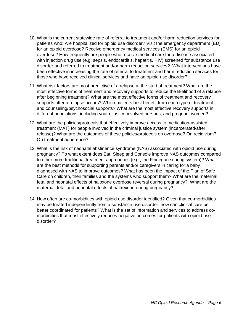- 10. What is the current statewide rate of referral to treatment and/or harm reduction services for patients who: Are hospitalized for opioid use disorder? Visit the emergency department (ED) for an opioid overdose? Receive emergency medical services (EMS) for an opioid overdose? How frequently are people who receive medical care for a disease associated with injection drug use (e.g. sepsis, endocarditis, hepatitis, HIV) screened for substance use disorder and referred to treatment and/or harm reduction services? What interventions have been effective in increasing the rate of referral to treatment and harm reduction services for those who have received clinical services and have an opioid use disorder?
- 11. What risk factors are most predictive of a relapse at the start of treatment? What are the most effective forms of treatment and recovery supports to reduce the likelihood of a relapse after beginning treatment? What are the most effective forms of treatment and recovery supports after a relapse occurs? Which patients best benefit from each type of treatment and counseling/psychosocial supports? What are the most effective recovery supports in different populations, including youth, justice-involved persons, and pregnant women?
- 12. What are the policies/protocols that effectively improve access to medication-assisted treatment (MAT) for people involved in the criminal justice system (incarcerated/after release)? What are the outcomes of these policies/protocols on overdose? On recidivism? On treatment adherence?
- 13. What is the risk of neonatal abstinence syndrome (NAS) associated with opioid use during pregnancy? To what extent does Eat, Sleep and Console improve NAS outcomes compared to other more traditional treatment approaches (e.g., the Finnegan scoring system)? What are the best methods for supporting parents and/or caregivers in caring for a baby diagnosed with NAS to improve outcomes? What has been the impact of the Plan of Safe Care on children, their families and the systems who support them? What are the maternal, fetal and neonatal effects of naloxone overdose reversal during pregnancy? What are the maternal, fetal and neonatal effects of naltrexone during pregnancy?
- 14. How often are co-morbidities with opioid use disorder identified? Given that co-morbidities may be treated independently from a substance use disorder, how can clinical care be better coordinated for patients? What is the set of information and services to address comorbidities that most effectively reduces negative outcomes for patients with opioid use disorder?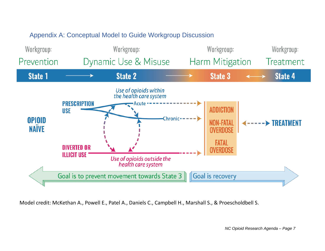# Appendix A: Conceptual Model to Guide Workgroup Discussion



Model credit: McKethan A., Powell E., Patel A., Daniels C., Campbell H., Marshall S., & Proescholdbell S.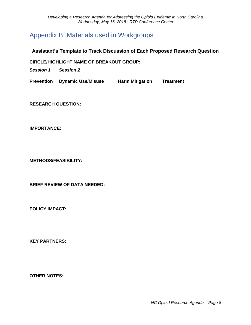# Appendix B: Materials used in Workgroups

### **Assistant's Template to Track Discussion of Each Proposed Research Question**

**CIRCLE/HIGHLIGHT NAME OF BREAKOUT GROUP:** 

*Session 1 Session 2*

**Prevention Dynamic Use/Misuse Harm Mitigation Treatment**

**RESEARCH QUESTION:**

**IMPORTANCE:**

**METHODS/FEASIBILITY:**

**BRIEF REVIEW OF DATA NEEDED:**

**POLICY IMPACT:**

**KEY PARTNERS:**

**OTHER NOTES:**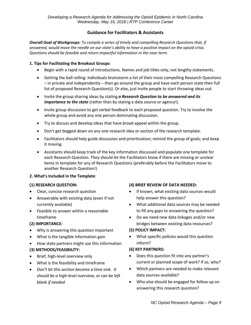### **Guidance for Facilitators & Assistants**

*Overall Goal of Workgroups: To compile a series of timely and compelling Research Questions that, if answered, would move the needle on our state's ability to have a positive impact on the opioid crisis. Questions should be feasible and return impactful information in the near term.* 

#### **1. Tips for Facilitating the Breakout Groups**:

- Begin with a rapid round of introductions. Names and job titles only, not lengthy statements.
- Getting the ball rolling: Individuals brainstorm a list of their most compelling Research Questions – in private and independently – then go around the group and have each person state their full list of proposed Research Question(s). Or else, just invite people to start throwing ideas out.
- Invite the group sharing ideas by stating *a Research Question to be answered and its importance to the state* (rather than by stating a data source or agency!).
- Invite group discussion to get verbal feedback to each proposed question. Try to involve the whole group and avoid any one person dominating discussion.
- Try to discuss and develop ideas that have broad appeal within the group.
- Don't get bogged down on any one research idea or section of the research template.
- Facilitators should help guide discussion and prioritization; remind the group of goals; and keep it moving.
- Assistants should keep track of the key information discussed and populate one template for each Research Question. They should let the Facilitators know if there are missing or unclear items in template for any of Research Questions (preferably before the Facilitators move to another Research Question!)

#### **2. What's Included in the Template**:

#### **(1) RESEARCH QUESTION:**

- Clear, concise research question
- Answerable with existing data (even if not currently available)
- Feasible to answer within a reasonable timeframe

#### **(2) IMPORTANCE:**

- Why is answering this question important
- What is the tangible information gain
- How state partners might use this information

#### **(3) METHODS/FEASIBILITY:**

- Brief, high-level overview only
- What is the feasibility and timeframe
- *Don't let this section become a time sink. It should be a high-level overview, or can be left blank if needed*

#### **(4) BRIEF REVIEW OF DATA NEEDED:**

- If known, what existing data sources would help answer this question?
- What additional data sources may be needed to fill any gaps to answering the question?
- Do we need new data linkages and/or new bridges between existing data resources?

#### **(5) POLICY IMPACT:**

• What specific policies would this question inform?

#### **(6) KEY PARTNERS:**

- Does this question fit into any partner's current or planned scope of work? If so, who?
- Which partners are needed to make relevant data sources available?
- Who else should be engaged for follow up on answering this research question?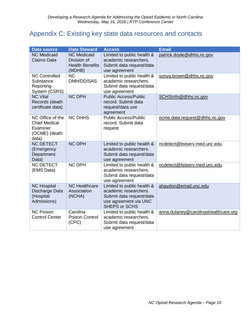# Appendix C: Existing key state data resources and contacts

| <b>Data source</b>                                                             | <b>Data Steward</b>                                                   | <b>Access</b>                                                                                                                    | <b>Email</b>                         |
|--------------------------------------------------------------------------------|-----------------------------------------------------------------------|----------------------------------------------------------------------------------------------------------------------------------|--------------------------------------|
| <b>NC Medicaid</b><br><b>Claims Data</b>                                       | <b>NC Medicaid</b><br>Division of<br><b>Health Benefits</b><br>(MDHB) | Limited to public health &<br>academic researchers.<br>Submit data request/data<br>use agreement                                 | patrick.doyle@dhhs.nc.gov            |
| <b>NC Controlled</b><br>Substance<br>Reporting<br>System (CSRS)                | <b>NC</b><br>DMH/DD/SAS                                               | Limited to public health &<br>academic researchers.<br>Submit data request/data<br>use agreement                                 | sonya.brown@dhhs.nc.gov              |
| <b>NC Vital</b><br>Records (death<br>certificate data)                         | <b>NC DPH</b>                                                         | <b>Public Access/Public</b><br>record. Submit data<br>request/data use<br>agreement                                              | SCHSInfo@dhhs.nc.gov                 |
| NC Office of the<br><b>Chief Medical</b><br>Examiner<br>(OCME) (death<br>data) | <b>NC DHHS</b>                                                        | <b>Public Access/Public</b><br>record. Submit data<br>request                                                                    | ocme.data.request@dhhs.nc.gov        |
| <b>NC DETECT</b><br>(Emergency<br>Department<br>Data)                          | <b>NC DPH</b>                                                         | Limited to public health &<br>academic researchers.<br>Submit data request/data<br>use agreement                                 | ncdetect@listserv.med.unc.edu        |
| <b>NC DETECT</b><br>(EMS Data)                                                 | <b>NC DPH</b>                                                         | Limited to public health &<br>academic researchers.<br>Submit data request/data<br>use agreement                                 | ncdetect@listserv.med.unc.edu        |
| <b>NC Hospital</b><br>Discharge Data<br>(Hospital<br>Admissions)               | <b>NC Healthcare</b><br>Association<br>(NCHA)                         | Limited to public health &<br>academic researchers.<br>Submit data request/data<br>use agreement via UNC<br><b>SHEPS or SCHS</b> | ahaydon@email.unc.edu                |
| <b>NC Poison</b><br><b>Control Center</b>                                      | Carolina<br>Poison Control<br>(CPC)                                   | Limited to public health &<br>academic researchers.<br>Submit data request/data<br>use agreement                                 | anna.dulaney@carolinashealthcare.org |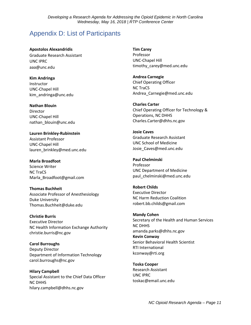# Appendix D: List of Participants

**Apostolos Alexandridis** Graduate Research Assistant UNC IPRC aaa@unc.edu

**Kim Andringa** Instructor UNC-Chapel Hill kim\_andringa@unc.edu

**Nathan Blouin** Director UNC-Chapel Hill nathan\_blouin@unc.edu

**Lauren Brinkley-Rubinstein** Assistant Professor UNC-Chapel Hill lauren\_brinkley@med.unc.edu

**Marla Broadfoot** Science Writer NC TraCS Marla\_Broadfoot@gmail.com

**Thomas Buchheit** Associate Professor of Anesthesiology Duke University Thomas.Buchheit@duke.edu

**Christie Burris** Executive Director NC Health Information Exchange Authority christie.burris@nc.gov

**Carol Burroughs** Deputy Director Department of Information Technology carol.burroughs@nc.gov

**Hilary Campbell** Special Assistant to the Chief Data Officer NC DHHS hilary.campbell@dhhs.nc.gov

**Tim Carey** Professor UNC-Chapel Hill timothy carey@med.unc.edu

**Andrea Carnegie** Chief Operating Officer NC TraCS Andrea\_Carnegie@med.unc.edu

**Charles Carter** Chief Operating Officer for Technology & Operations, NC DHHS Charles.Carter@dhhs.nc.gov

**Josie Caves** Graduate Research Assistant UNC School of Medicine [Josie\\_Caves@med.unc.edu](mailto:Josie_Caves@med.unc.edu)

**Paul Chelminski** Professor UNC Department of Medicine paul\_chelminski@med.unc.edu

**Robert Childs** Executive Director NC Harm Reduction Coalition robert.bb.childs@gmail.com

**Mandy Cohen** Secretary of the Health and Human Services NC DHHS amanda.parks@dhhs.nc.gov **Kevin Conway**  Senior Behavioral Health Scientist RTI International kconway@rti.org

**Toska Cooper** Research Assistant UNC IPRC toskac@email.unc.edu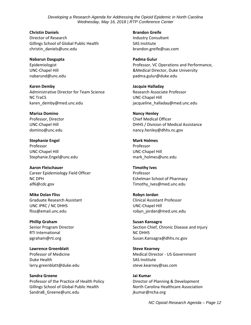**Christin Daniels** Director of Research Gillings School of Global Public Health christin\_daniels@unc.edu

**Nabarun Dasgupta** Epidemiologist UNC-Chapel Hill nabarund@unc.edu

**Karen Demby** Administrative Director for Team Science NC TraCS karen\_demby@med.unc.edu

**Marisa Domino** Professor, Director UNC-Chapel Hill domino@unc.edu

**Stephanie Engel** Professor UNC-Chapel Hill Stephanie.Engel@unc.edu

**Aaron Fleischauer** Career Epidemiology Field Officer NC DPH alf6@cdc.gov

**Mike Dolan Fliss** Graduate Research Assistant UNC IPRC / NC DHHS fliss@email.unc.edu

**Phillip Graham** Senior Program Director RTI International pgraham@rti.org

**Lawrence Greenblatt** Professor of Medicine Duke Health larry.greenblatt@duke.edu

**Sandra Greene** Professor of the Practice of Health Policy Gillings School of Global Public Health SandraB\_Greene@unc.edu

**Brandon Greife** Industry Consultant SAS Institute brandon.greife@sas.com

**Padma Gulur** Professor, VC Operations and Performance, &Medical Director, Duke University padma.gulur@duke.edu

**Jacquie Halladay** Research Associate Professor UNC-Chapel Hill jacqueline\_halladay@med.unc.edu

**Nancy Henley** Chief Medical Officer DHHS / Division of Medical Assistance nancy.henley@dhhs.nc.gov

**Mark Holmes** Professor UNC-Chapel Hill mark\_holmes@unc.edu

**Timothy Ives** Professor Eshelman School of Pharmacy Timothy\_Ives@med.unc.edu

**Robyn Jordan** Clinical Assistant Professor UNC-Chapel Hill robyn\_jordan@med.unc.edu

**Susan Kansagra** Section Chief, Chronic Disease and Injury NC DHHS Susan.Kansagra@dhhs.nc.gov

**Steve Kearney** Medical Director - US Government SAS Institute steve.kearney@sas.com

**Jai Kumar** Director of Planning & Development North Carolina Healthcare Association jkumar@ncha.org

*NC Opioid Research Agenda – Page 12*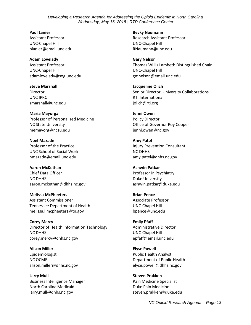**Paul Lanier** Assistant Professor UNC-Chapel Hill planier@email.unc.edu

**Adam Lovelady** Assistant Professor UNC-Chapel Hill adamlovelady@sog.unc.edu

**Steve Marshall** Director UNC IPRC smarshall@unc.edu

**Maria Mayorga** Professor of Personalized Medicine NC State University memayorg@ncsu.edu

**Noel Mazade** Professor of the Practice UNC School of Social Work nmazade@email.unc.edu

**Aaron McKethan** Chief Data Officer NC DHHS aaron.mckethan@dhhs.nc.gov

**Melissa McPheeters** Assistant Commissioner Tennessee Department of Health melissa.l.mcpheeters@tn.gov

**Corey Mercy** Director of Health Information Technology NC DHHS corey.mercy@dhhs.nc.gov

**Alison Miller** Epidemiologist NC OCME alison.miller@dhhs.nc.gov

**Larry Mull** Business Intelligence Manager North Carolina Medicaid larry.mull@dhhs.nc.gov

**Becky Naumann** Research Assistant Professor UNC-Chapel Hill RNaumann@unc.edu

**Gary Nelson** Thomas Willis Lambeth Distinguished Chair UNC-Chapel Hill gmnelson@email.unc.edu

**Jacqueline Olich** Senior Director, University Collaborations RTI International jolich@rti.org

**Jenni Owen** Policy Director Office of Governor Roy Cooper jenni.owen@nc.gov

**Amy Patel** Injury Prevention Consultant NC DHHS amy.patel@dhhs.nc.gov

**Ashwin Patkar** Professor in Psychiatry Duke University ashwin.patkar@duke.edu

**Brian Pence** Associate Professor UNC-Chapel Hill bpence@unc.edu

**Emily Pfaff** Administrative Director UNC-Chapel Hill epfaff@email.unc.edu

**Elyse Powell** Public Health Analyst Department of Public Health elyse.powell@dhhs.nc.gov

**Steven Prakken** Pain Medicine Specialist Duke Pain Medicine steven.prakken@duke.edu

*NC Opioid Research Agenda – Page 13*